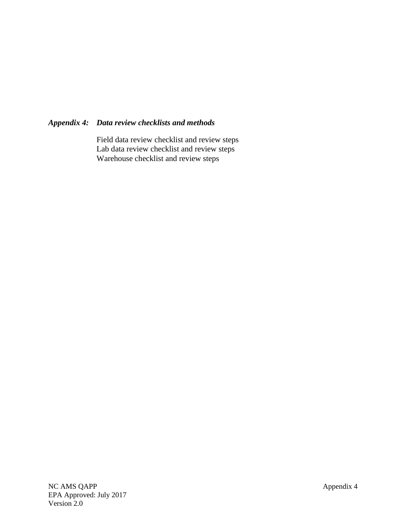## *Appendix 4: Data review checklists and methods*

Field data review checklist and review steps Lab data review checklist and review steps Warehouse checklist and review steps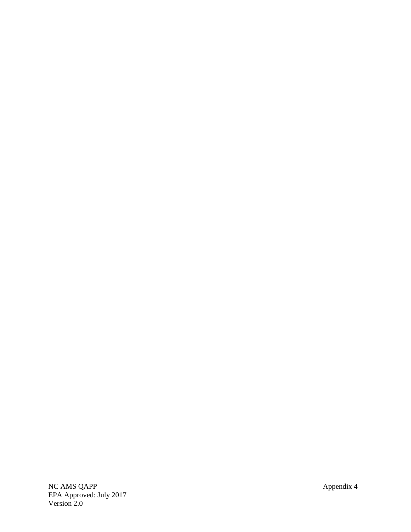NC AMS QAPP Appendix EPA Approved: July 2017 Version 2.0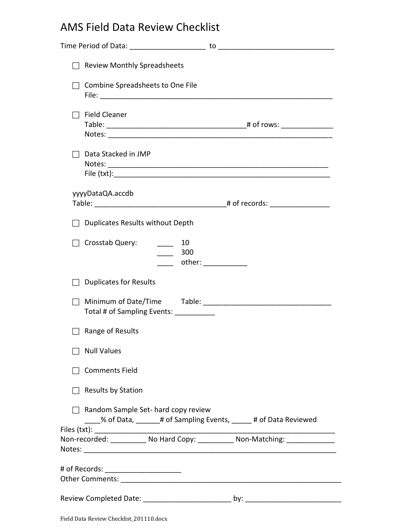## AMS Field Data Review Checklist

| <b>Review Monthly Spreadsheets</b>    |                                                                                                              |  |  |  |
|---------------------------------------|--------------------------------------------------------------------------------------------------------------|--|--|--|
| Combine Spreadsheets to One File      |                                                                                                              |  |  |  |
| <b>Field Cleaner</b>                  |                                                                                                              |  |  |  |
| Data Stacked in JMP                   |                                                                                                              |  |  |  |
| yyyyDataQA.accdb                      |                                                                                                              |  |  |  |
| Duplicates Results without Depth      |                                                                                                              |  |  |  |
| Crosstab Query:                       | 10<br>300                                                                                                    |  |  |  |
| <b>Duplicates for Results</b>         |                                                                                                              |  |  |  |
|                                       | Total # of Sampling Events: __________                                                                       |  |  |  |
| Range of Results                      |                                                                                                              |  |  |  |
| <b>Null Values</b>                    |                                                                                                              |  |  |  |
| <b>Comments Field</b>                 |                                                                                                              |  |  |  |
| <b>Results by Station</b>             |                                                                                                              |  |  |  |
|                                       | Random Sample Set- hard copy review<br>____% of Data, _______# of Sampling Events, ______ # of Data Reviewed |  |  |  |
| Notes:                                | Non-recorded: __________ No Hard Copy: _________ Non-Matching: _____________                                 |  |  |  |
| # of Records: _______________________ |                                                                                                              |  |  |  |
|                                       |                                                                                                              |  |  |  |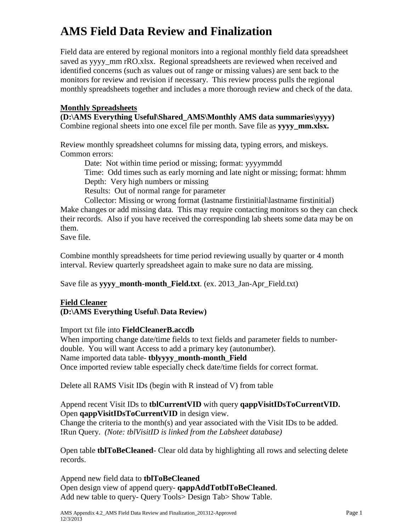# **AMS Field Data Review and Finalization**

Field data are entered by regional monitors into a regional monthly field data spreadsheet saved as yyyy\_mm rRO.xlsx. Regional spreadsheets are reviewed when received and identified concerns (such as values out of range or missing values) are sent back to the monitors for review and revision if necessary. This review process pulls the regional monthly spreadsheets together and includes a more thorough review and check of the data.

## **Monthly Spreadsheets**

**(D:\AMS Everything Useful\Shared\_AMS\Monthly AMS data summaries\yyyy)** Combine regional sheets into one excel file per month. Save file as **yyyy\_mm.xlsx.**

Review monthly spreadsheet columns for missing data, typing errors, and miskeys. Common errors:

Date: Not within time period or missing; format: yyyymmdd Time: Odd times such as early morning and late night or missing; format: hhmm Depth: Very high numbers or missing

Results: Out of normal range for parameter

Collector: Missing or wrong format (lastname firstinitial\lastname firstinitial) Make changes or add missing data. This may require contacting monitors so they can check their records. Also if you have received the corresponding lab sheets some data may be on them.

Save file.

Combine monthly spreadsheets for time period reviewing usually by quarter or 4 month interval. Review quarterly spreadsheet again to make sure no data are missing.

Save file as **yyyy\_month-month\_Field.txt**. (ex. 2013\_Jan-Apr\_Field.txt)

## **Field Cleaner**

## **(D:\AMS Everything Useful\ Data Review)**

## Import txt file into **FieldCleanerB.accdb**

When importing change date/time fields to text fields and parameter fields to numberdouble. You will want Access to add a primary key (autonumber). Name imported data table- **tblyyyy\_month-month\_Field** Once imported review table especially check date/time fields for correct format.

Delete all RAMS Visit IDs (begin with R instead of V) from table

## Append recent Visit IDs to **tblCurrentVID** with query **qappVisitIDsToCurrentVID.**  Open **qappVisitIDsToCurrentVID** in design view.

Change the criteria to the month(s) and year associated with the Visit IDs to be added. **!**Run Query. *(Note: tblVisitID is linked from the Labsheet database)*

Open table **tblToBeCleaned**- Clear old data by highlighting all rows and selecting delete records.

Append new field data to **tblToBeCleaned** Open design view of append query- **qappAddTotblToBeCleaned**. Add new table to query- Query Tools> Design Tab> Show Table.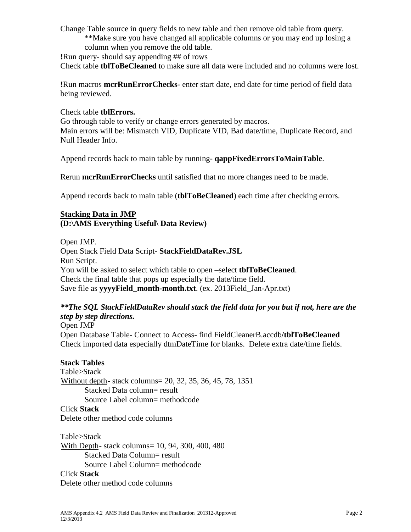Change Table source in query fields to new table and then remove old table from query.

\*\*Make sure you have changed all applicable columns or you may end up losing a column when you remove the old table.

**!**Run query- should say appending ## of rows

Check table **tblToBeCleaned** to make sure all data were included and no columns were lost.

**!**Run macros **mcrRunErrorChecks**- enter start date, end date for time period of field data being reviewed.

#### Check table **tblErrors.**

Go through table to verify or change errors generated by macros. Main errors will be: Mismatch VID, Duplicate VID, Bad date/time, Duplicate Record, and Null Header Info.

Append records back to main table by running- **qappFixedErrorsToMainTable**.

Rerun **mcrRunErrorChecks** until satisfied that no more changes need to be made.

Append records back to main table (**tblToBeCleaned**) each time after checking errors.

## **Stacking Data in JMP (D:\AMS Everything Useful\ Data Review)**

Open JMP. Open Stack Field Data Script- **StackFieldDataRev.JSL** Run Script. You will be asked to select which table to open –select **tblToBeCleaned**. Check the final table that pops up especially the date/time field. Save file as **yyyyField\_month-month.txt**. (ex. 2013Field\_Jan-Apr.txt)

## *\*\*The SQL StackFieldDataRev should stack the field data for you but if not, here are the step by step directions.*

Open JMP Open Database Table- Connect to Access- find FieldCleanerB.accdb**/tblToBeCleaned** Check imported data especially dtmDateTime for blanks. Delete extra date/time fields.

## **Stack Tables**

Table>Stack Without depth-stack columns=  $20, 32, 35, 36, 45, 78, 1351$ Stacked Data column= result Source Label column= methodcode Click **Stack** Delete other method code columns

Table>Stack With Depth- stack columns=  $10, 94, 300, 400, 480$ Stacked Data Column= result Source Label Column= methodcode Click **Stack** Delete other method code columns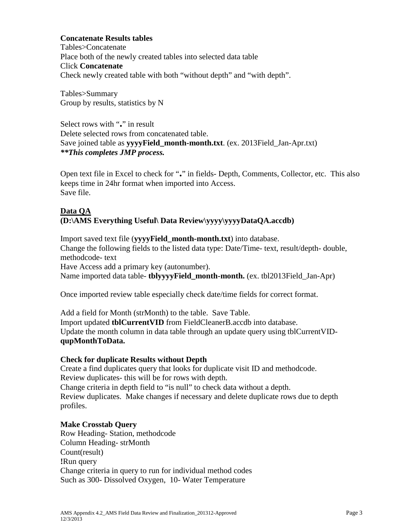### **Concatenate Results tables**

Tables>Concatenate Place both of the newly created tables into selected data table Click **Concatenate** Check newly created table with both "without depth" and "with depth".

Tables>Summary Group by results, statistics by N

Select rows with "**.**" in result Delete selected rows from concatenated table. Save joined table as **yyyyField\_month-month.txt**. (ex. 2013Field\_Jan-Apr.txt) *\*\*This completes JMP process.*

Open text file in Excel to check for "**.**" in fields- Depth, Comments, Collector, etc. This also keeps time in 24hr format when imported into Access. Save file.

## **Data QA (D:\AMS Everything Useful\ Data Review\yyyy\yyyyDataQA.accdb)**

Import saved text file (**yyyyField\_month-month.txt**) into database. Change the following fields to the listed data type: Date/Time- text, result/depth- double, methodcode- text Have Access add a primary key (autonumber). Name imported data table-**tblyyyyField\_month-month.** (ex. tbl2013Field Jan-Apr)

Once imported review table especially check date/time fields for correct format.

Add a field for Month (strMonth) to the table. Save Table. Import updated **tblCurrentVID** from FieldCleanerB.accdb into database. Update the month column in data table through an update query using tblCurrentVID**qupMonthToData.**

## **Check for duplicate Results without Depth**

Create a find duplicates query that looks for duplicate visit ID and methodcode. Review duplicates- this will be for rows with depth. Change criteria in depth field to "is null" to check data without a depth. Review duplicates. Make changes if necessary and delete duplicate rows due to depth profiles.

## **Make Crosstab Query**

Row Heading- Station, methodcode Column Heading- strMonth Count(result) **!**Run query Change criteria in query to run for individual method codes Such as 300- Dissolved Oxygen, 10- Water Temperature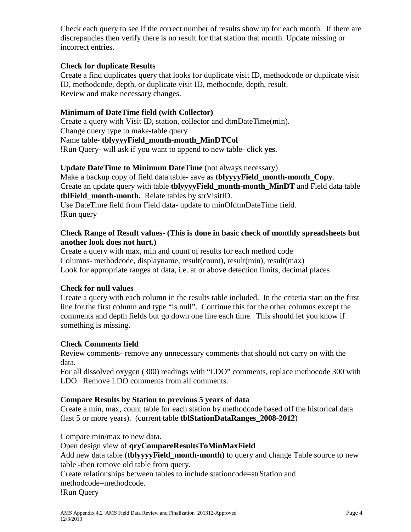Check each query to see if the correct number of results show up for each month. If there are discrepancies then verify there is no result for that station that month. Update missing or incorrect entries.

### **Check for duplicate Results**

Create a find duplicates query that looks for duplicate visit ID, methodcode or duplicate visit ID, methodcode, depth, or duplicate visit ID, methocode, depth, result. Review and make necessary changes.

## **Minimum of DateTime field (with Collector)**

Create a query with Visit ID, station, collector and dtmDateTime(min). Change query type to make-table query Name table- **tblyyyyField\_month-month\_MinDTCol !**Run Query- will ask if you want to append to new table- click **yes**.

## **Update DateTime to Minimum DateTime** (not always necessary)

Make a backup copy of field data table- save as **tblyyyvField month-month Copy**. Create an update query with table **tblyyyyField\_month-month\_MinDT** and Field data table **tblField\_month-month.** Relate tables by strVisitID. Use DateTime field from Field data- update to minOfdtmDateTime field. **!**Run query

### **Check Range of Result values- (This is done in basic check of monthly spreadsheets but another look does not hurt.)**

Create a query with max, min and count of results for each method code Columns- methodcode, displayname, result(count), result(min), result(max) Look for appropriate ranges of data, i.e. at or above detection limits, decimal places

## **Check for null values**

Create a query with each column in the results table included. In the criteria start on the first line for the first column and type "is null". Continue this for the other columns except the comments and depth fields but go down one line each time. This should let you know if something is missing.

## **Check Comments field**

Review comments- remove any unnecessary comments that should not carry on with the data.

For all dissolved oxygen (300) readings with "LDO" comments, replace methocode 300 with LDO. Remove LDO comments from all comments.

## **Compare Results by Station to previous 5 years of data**

Create a min, max, count table for each station by methodcode based off the historical data (last 5 or more years). (current table **tblStationDataRanges\_2008-2012**)

Compare min/max to new data.

## Open design view of **qryCompareResultsToMinMaxField**

Add new data table (**tblyyyyField\_month-month)** to query and change Table source to new table -then remove old table from query.

Create relationships between tables to include stationcode=strStation and methodcode=methodcode.

**!**Run Query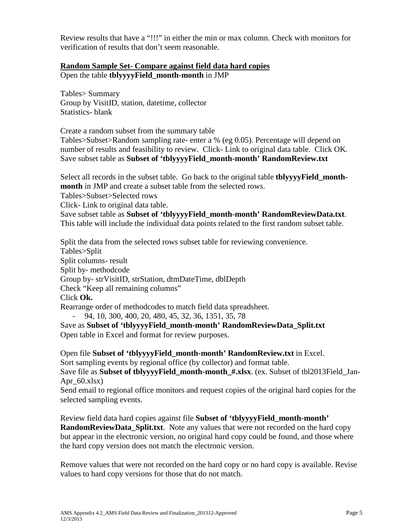Review results that have a "!!!" in either the min or max column. Check with monitors for verification of results that don't seem reasonable.

## **Random Sample Set- Compare against field data hard copies**

Open the table **tblyyyyField\_month-month** in JMP

Tables> Summary Group by VisitID, station, datetime, collector Statistics- blank

Create a random subset from the summary table

Tables>Subset>Random sampling rate- enter a % (eg 0.05). Percentage will depend on number of results and feasibility to review. Click- Link to original data table. Click OK. Save subset table as **Subset of 'tblyyyyField\_month-month' RandomReview.txt**

Select all records in the subset table. Go back to the original table **tblyyyyField\_monthmonth** in JMP and create a subset table from the selected rows.

Tables>Subset>Selected rows

Click- Link to original data table.

Save subset table as **Subset of 'tblyyyyField\_month-month' RandomReviewData.txt**. This table will include the individual data points related to the first random subset table.

Split the data from the selected rows subset table for reviewing convenience. Tables>Split Split columns- result Split by- methodcode Group by- strVisitID, strStation, dtmDateTime, dblDepth Check "Keep all remaining columns" Click **Ok.** Rearrange order of methodcodes to match field data spreadsheet. - 94, 10, 300, 400, 20, 480, 45, 32, 36, 1351, 35, 78 Save as **Subset of 'tblyyyyField\_month-month' RandomReviewData\_Split.txt**

Open table in Excel and format for review purposes.

Open file **Subset of 'tblyyyyField\_month-month' RandomReview.txt** in Excel. Sort sampling events by regional office (by collector) and format table.

Save file as **Subset of tblyyyyField\_month-month\_#.xlsx**. (ex. Subset of tbl2013Field\_Jan-Apr $60.x$ lsx)

Send email to regional office monitors and request copies of the original hard copies for the selected sampling events.

Review field data hard copies against file **Subset of 'tblyyyyField\_month-month' RandomReviewData\_Split.txt**. Note any values that were not recorded on the hard copy but appear in the electronic version, no original hard copy could be found, and those where the hard copy version does not match the electronic version.

Remove values that were not recorded on the hard copy or no hard copy is available. Revise values to hard copy versions for those that do not match.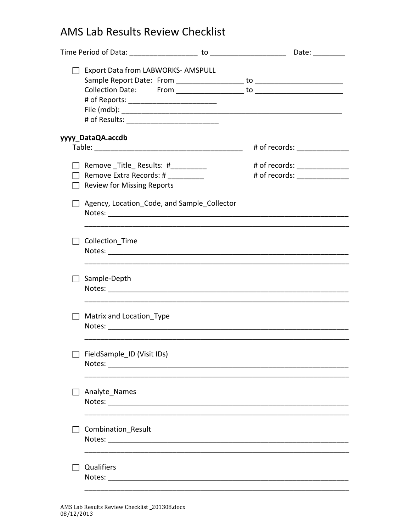## AMS Lab Results Review Checklist

|                                                 |  | $\mathsf{to}$ ______________   |  |
|-------------------------------------------------|--|--------------------------------|--|
| Export Data from LABWORKS- AMSPULL              |  |                                |  |
|                                                 |  |                                |  |
|                                                 |  |                                |  |
|                                                 |  |                                |  |
| # of Results: _________________________         |  |                                |  |
|                                                 |  |                                |  |
| yyyy_DataQA.accdb                               |  |                                |  |
|                                                 |  | # of records: _______________  |  |
|                                                 |  |                                |  |
| Remove_Title_Results: #________                 |  | # of records: ________________ |  |
| Remove Extra Records: # _________               |  | # of records: ____________     |  |
| <b>Review for Missing Reports</b>               |  |                                |  |
|                                                 |  |                                |  |
| Agency, Location Code, and Sample Collector     |  |                                |  |
| Collection Time                                 |  |                                |  |
|                                                 |  |                                |  |
|                                                 |  |                                |  |
| Sample-Depth                                    |  |                                |  |
| Matrix and Location_Type                        |  |                                |  |
| FieldSample_ID (Visit IDs)<br>Notes:            |  |                                |  |
| Analyte_Names<br>Notes: _______________________ |  |                                |  |
| Combination_Result                              |  |                                |  |
| Qualifiers<br>Notes:                            |  |                                |  |
|                                                 |  |                                |  |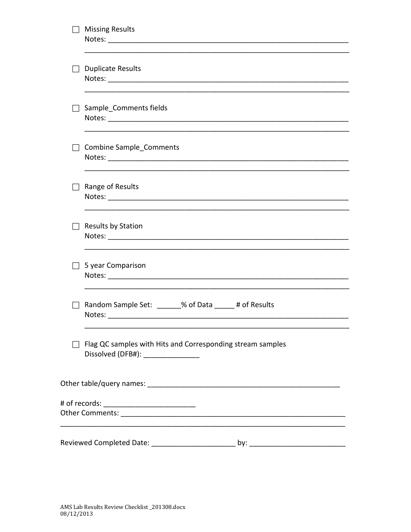| <b>Missing Results</b>                                                                           |  |  |
|--------------------------------------------------------------------------------------------------|--|--|
| <b>Duplicate Results</b>                                                                         |  |  |
| Sample_Comments fields                                                                           |  |  |
| <b>Combine Sample_Comments</b>                                                                   |  |  |
| Range of Results                                                                                 |  |  |
| <b>Results by Station</b>                                                                        |  |  |
| 5 year Comparison                                                                                |  |  |
| Random Sample Set: ______% of Data ______ # of Results<br>Notes: __________                      |  |  |
| Flag QC samples with Hits and Corresponding stream samples<br>Dissolved (DFB#): ________________ |  |  |
|                                                                                                  |  |  |
| # of records: ____________________________                                                       |  |  |
| by: $\overline{\phantom{a}}$                                                                     |  |  |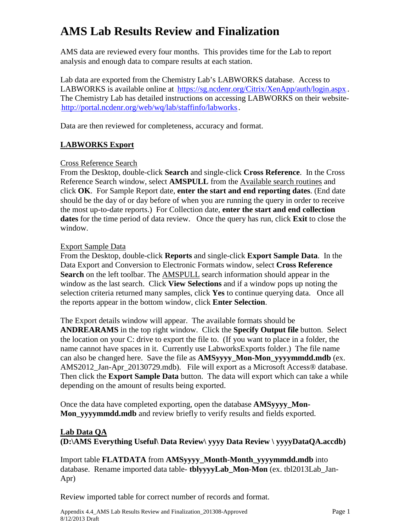## **AMS Lab Results Review and Finalization**

AMS data are reviewed every four months. This provides time for the Lab to report analysis and enough data to compare results at each station.

Lab data are exported from the Chemistry Lab's LABWORKS database. Access to LABWORKS is available online at <https://sg.ncdenr.org/Citrix/XenApp/auth/login.aspx>. The Chemistry Lab has detailed instructions on accessing LABWORKS on their website<http://portal.ncdenr.org/web/wq/lab/staffinfo/labworks>.

Data are then reviewed for completeness, accuracy and format.

## **LABWORKS Export**

### Cross Reference Search

From the Desktop, double-click **Search** and single-click **Cross Reference**. In the Cross Reference Search window, select **AMSPULL** from the Available search routines and click **OK**. For Sample Report date, **enter the start and end reporting dates**. (End date should be the day of or day before of when you are running the query in order to receive the most up-to-date reports.) For Collection date, **enter the start and end collection dates** for the time period of data review. Once the query has run, click **Exit** to close the window.

### Export Sample Data

From the Desktop, double-click **Reports** and single-click **Export Sample Data**. In the Data Export and Conversion to Electronic Formats window, select **Cross Reference Search** on the left toolbar. The AMSPULL search information should appear in the window as the last search. Click **View Selections** and if a window pops up noting the selection criteria returned many samples, click **Yes** to continue querying data. Once all the reports appear in the bottom window, click **Enter Selection**.

The Export details window will appear. The available formats should be **ANDREARAMS** in the top right window. Click the **Specify Output file** button. Select the location on your C: drive to export the file to. (If you want to place in a folder, the name cannot have spaces in it. Currently use LabworksExports folder.) The file name can also be changed here. Save the file as **AMSyyyy\_Mon-Mon\_yyyymmdd.mdb** (ex. AMS2012 Jan-Apr 20130729.mdb). File will export as a Microsoft Access® database. Then click the **Export Sample Data** button. The data will export which can take a while depending on the amount of results being exported.

Once the data have completed exporting, open the database **AMSyyyy\_Mon-Mon\_yyyymmdd.mdb** and review briefly to verify results and fields exported.

## **Lab Data QA**

**(D:\AMS Everything Useful\ Data Review\ yyyy Data Review \ yyyyDataQA.accdb)**

Import table **FLATDATA** from **AMSyyyy\_Month-Month\_yyyymmdd.mdb** into database. Rename imported data table- **tblyyyyLab\_Mon-Mon** (ex. tbl2013Lab\_Jan-Apr)

Review imported table for correct number of records and format.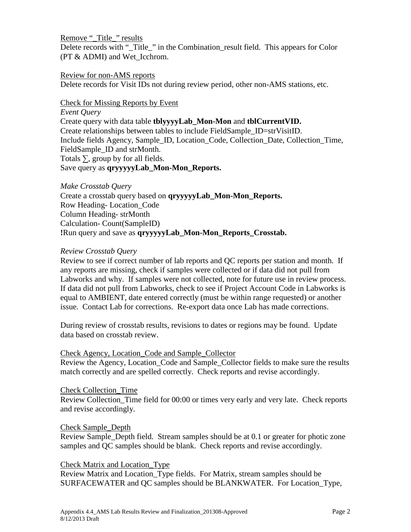Remove " Title " results Delete records with "\_Title\_" in the Combination\_result field. This appears for Color (PT & ADMI) and Wet\_Icchrom.

#### Review for non-AMS reports

Delete records for Visit IDs not during review period, other non-AMS stations, etc.

#### Check for Missing Reports by Event

*Event Query* Create query with data table **tblyyyyLab\_Mon-Mon** and **tblCurrentVID.**  Create relationships between tables to include FieldSample\_ID=strVisitID. Include fields Agency, Sample\_ID, Location\_Code, Collection\_Date, Collection\_Time, FieldSample\_ID and strMonth. Totals  $\Sigma$ , group by for all fields. Save query as **qryyyyyLab\_Mon-Mon\_Reports.** 

#### *Make Crosstab Query*

Create a crosstab query based on **qryyyyyLab\_Mon-Mon\_Reports.** Row Heading- Location\_Code Column Heading- strMonth Calculation- Count(SampleID) **!**Run query and save as **qryyyyyLab\_Mon-Mon\_Reports\_Crosstab.**

#### *Review Crosstab Query*

Review to see if correct number of lab reports and QC reports per station and month. If any reports are missing, check if samples were collected or if data did not pull from Labworks and why. If samples were not collected, note for future use in review process. If data did not pull from Labworks, check to see if Project Account Code in Labworks is equal to AMBIENT, date entered correctly (must be within range requested) or another issue. Contact Lab for corrections. Re-export data once Lab has made corrections.

During review of crosstab results, revisions to dates or regions may be found. Update data based on crosstab review.

#### Check Agency, Location\_Code and Sample\_Collector

Review the Agency, Location Code and Sample Collector fields to make sure the results match correctly and are spelled correctly. Check reports and revise accordingly.

#### Check Collection\_Time

Review Collection Time field for 00:00 or times very early and very late. Check reports and revise accordingly.

#### Check Sample\_Depth

Review Sample Depth field. Stream samples should be at 0.1 or greater for photic zone samples and QC samples should be blank. Check reports and revise accordingly.

#### Check Matrix and Location\_Type

Review Matrix and Location\_Type fields. For Matrix, stream samples should be SURFACEWATER and QC samples should be BLANKWATER. For Location\_Type,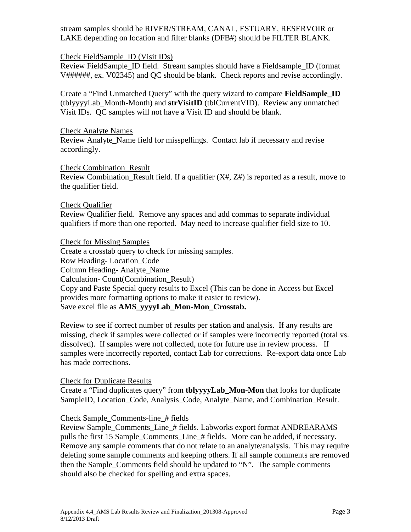## stream samples should be RIVER/STREAM, CANAL, ESTUARY, RESERVOIR or LAKE depending on location and filter blanks (DFB#) should be FILTER BLANK.

#### Check FieldSample\_ID (Visit IDs)

Review FieldSample\_ID field. Stream samples should have a Fieldsample\_ID (format V######, ex. V02345) and QC should be blank. Check reports and revise accordingly.

Create a "Find Unmatched Query" with the query wizard to compare **FieldSample\_ID** (tblyyyyLab\_Month-Month) and **strVisitID** (tblCurrentVID). Review any unmatched Visit IDs. QC samples will not have a Visit ID and should be blank.

#### Check Analyte Names

Review Analyte\_Name field for misspellings. Contact lab if necessary and revise accordingly.

#### Check Combination\_Result

Review Combination\_Result field. If a qualifier (X#, Z#) is reported as a result, move to the qualifier field.

#### Check Qualifier

Review Qualifier field. Remove any spaces and add commas to separate individual qualifiers if more than one reported. May need to increase qualifier field size to 10.

#### Check for Missing Samples

Create a crosstab query to check for missing samples. Row Heading- Location\_Code Column Heading- Analyte\_Name Calculation- Count(Combination\_Result) Copy and Paste Special query results to Excel (This can be done in Access but Excel provides more formatting options to make it easier to review). Save excel file as **AMS\_yyyyLab\_Mon-Mon\_Crosstab.**

Review to see if correct number of results per station and analysis. If any results are missing, check if samples were collected or if samples were incorrectly reported (total vs. dissolved). If samples were not collected, note for future use in review process. If samples were incorrectly reported, contact Lab for corrections. Re-export data once Lab has made corrections.

#### Check for Duplicate Results

Create a "Find duplicates query" from **tblyyyyLab\_Mon-Mon** that looks for duplicate SampleID, Location Code, Analysis Code, Analyte Name, and Combination Result.

#### Check Sample\_Comments-line\_# fields

Review Sample\_Comments\_Line\_# fields. Labworks export format ANDREARAMS pulls the first 15 Sample\_Comments\_Line\_# fields. More can be added, if necessary. Remove any sample comments that do not relate to an analyte/analysis. This may require deleting some sample comments and keeping others. If all sample comments are removed then the Sample\_Comments field should be updated to "N". The sample comments should also be checked for spelling and extra spaces.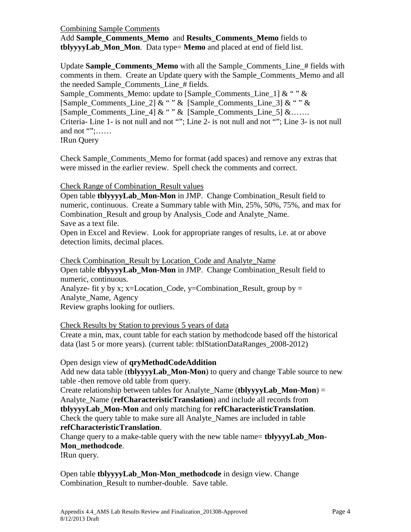Combining Sample Comments

Add **Sample\_Comments\_Memo** and **Results\_Comments\_Memo** fields to **tblyyyyLab** Mon Mon. Data type= **Memo** and placed at end of field list.

Update **Sample\_Comments\_Memo** with all the Sample\_Comments\_Line\_# fields with comments in them. Create an Update query with the Sample\_Comments\_Memo and all the needed Sample\_Comments\_Line\_# fields.

Sample Comments Memo: update to [Sample Comments Line 1]  $&$  "  $&$ 

[Sample\_Comments\_Line\_2] & " " & [Sample\_Comments\_Line\_3] & " " &

[Sample Comments Line 4] & " " & [Sample Comments Line 5]  $&$ .......

Criteria- Line 1- is not null and not ""; Line 2- is not null and not ""; Line 3- is not null and not "";......

**!**Run Query

Check Sample\_Comments\_Memo for format (add spaces) and remove any extras that were missed in the earlier review. Spell check the comments and correct.

Check Range of Combination\_Result values

Open table **tblyyyyLab\_Mon-Mon** in JMP. Change Combination\_Result field to numeric, continuous. Create a Summary table with Min, 25%, 50%, 75%, and max for Combination\_Result and group by Analysis\_Code and Analyte\_Name. Save as a text file.

Open in Excel and Review. Look for appropriate ranges of results, i.e. at or above

detection limits, decimal places.

Check Combination\_Result by Location\_Code and Analyte\_Name

Open table **tblyyyyLab** Mon-Mon in JMP. Change Combination Result field to numeric, continuous.

Analyze- fit y by x;  $x=Location\_Code$ ,  $y=Combination\_Result$ , group by  $=$ Analyte\_Name, Agency

Review graphs looking for outliers.

Check Results by Station to previous 5 years of data

Create a min, max, count table for each station by methodcode based off the historical data (last 5 or more years). (current table: tblStationDataRanges\_2008-2012)

## Open design view of **qryMethodCodeAddition**

Add new data table (**tblyyyyLab\_Mon-Mon**) to query and change Table source to new table -then remove old table from query.

Create relationship between tables for Analyte\_Name (**tblyyyyLab\_Mon-Mon**) = Analyte\_Name (**refCharacteristicTranslation**) and include all records from **tblyyyyLab\_Mon-Mon** and only matching for **refCharacteristicTranslation**. Check the query table to make sure all Analyte\_Names are included in table **refCharacteristicTranslation**.

Change query to a make-table query with the new table name= **tblyyyyLab** Mon-**Mon\_methodcode**.

**!**Run query.

Open table **tblyyyyLab\_Mon-Mon\_methodcode** in design view. Change Combination\_Result to number-double. Save table.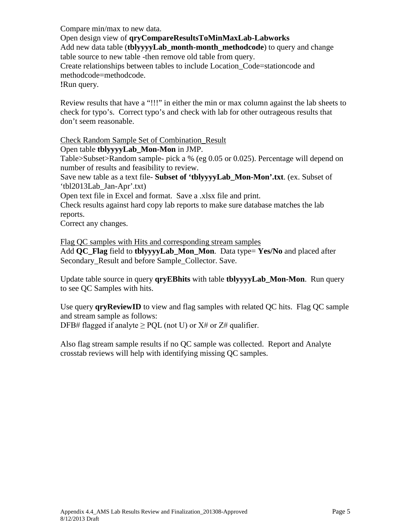Compare min/max to new data.

Open design view of **qryCompareResultsToMinMaxLab-Labworks** Add new data table (**tblyyyyLab\_month-month\_methodcode**) to query and change

table source to new table -then remove old table from query.

Create relationships between tables to include Location\_Code=stationcode and methodcode=methodcode.

**!**Run query.

Review results that have a "!!!" in either the min or max column against the lab sheets to check for typo's. Correct typo's and check with lab for other outrageous results that don't seem reasonable.

Check Random Sample Set of Combination\_Result

Open table **tblyyyyLab\_Mon-Mon** in JMP.

Table>Subset>Random sample- pick a % (eg 0.05 or 0.025). Percentage will depend on number of results and feasibility to review.

Save new table as a text file- **Subset of 'tblyyyyLab\_Mon-Mon'.txt**. (ex. Subset of 'tbl2013Lab\_Jan-Apr'.txt)

Open text file in Excel and format. Save a .xlsx file and print.

Check results against hard copy lab reports to make sure database matches the lab reports.

Correct any changes.

Flag QC samples with Hits and corresponding stream samples Add **QC\_Flag** field to **tblyyyyLab\_Mon\_Mon**. Data type= **Yes/No** and placed after Secondary Result and before Sample Collector. Save.

Update table source in query **qryEBhits** with table **tblyyyyLab\_Mon-Mon**. Run query to see QC Samples with hits.

Use query **qryReviewID** to view and flag samples with related QC hits. Flag QC sample and stream sample as follows: DFB# flagged if analyte  $\geq$  PQL (not U) or X# or Z# qualifier.

Also flag stream sample results if no QC sample was collected. Report and Analyte crosstab reviews will help with identifying missing QC samples.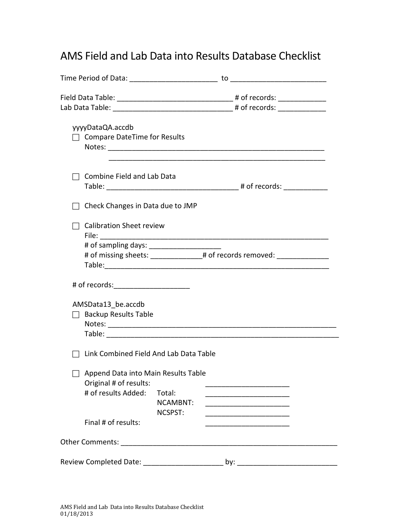## AMS Field and Lab Data into Results Database Checklist

| yyyyDataQA.accdb<br><b>Compare DateTime for Results</b>                                                                             |                                                                                  |  |  |  |  |
|-------------------------------------------------------------------------------------------------------------------------------------|----------------------------------------------------------------------------------|--|--|--|--|
| Combine Field and Lab Data                                                                                                          |                                                                                  |  |  |  |  |
|                                                                                                                                     | Check Changes in Data due to JMP                                                 |  |  |  |  |
| <b>Calibration Sheet review</b>                                                                                                     |                                                                                  |  |  |  |  |
|                                                                                                                                     | # of missing sheets: ______________# of records removed: _______________________ |  |  |  |  |
| # of records:______________________                                                                                                 |                                                                                  |  |  |  |  |
| AMSData13_be.accdb<br><b>Backup Results Table</b>                                                                                   |                                                                                  |  |  |  |  |
|                                                                                                                                     | Link Combined Field And Lab Data Table                                           |  |  |  |  |
| $\Box$ Append Data into Main Results Table<br>Original # of results:<br># of results Added:<br>Total:<br><b>NCAMBNT:</b><br>NCSPST: | <u> 1980 - John Stein, Amerikaansk kanton (</u>                                  |  |  |  |  |
| Final # of results:                                                                                                                 | <u> 1980 - Johann Barn, mars an t-Amerikaansk politiker (</u>                    |  |  |  |  |
|                                                                                                                                     |                                                                                  |  |  |  |  |
|                                                                                                                                     |                                                                                  |  |  |  |  |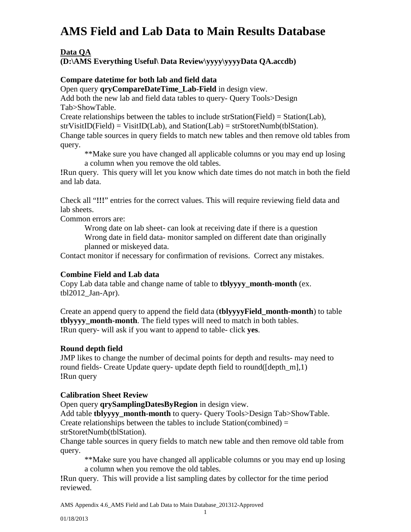# **AMS Field and Lab Data to Main Results Database**

**Data QA**

**(D:\AMS Everything Useful\ Data Review\yyyy\yyyyData QA.accdb)**

## **Compare datetime for both lab and field data**

Open query **qryCompareDateTime\_Lab-Field** in design view.

Add both the new lab and field data tables to query- Query Tools>Design Tab>ShowTable.

Create relationships between the tables to include strStation(Field) = Station(Lab),

 $strVisitID(Field) = VisitID(Lab)$ , and  $Station(Lab) = strStoretNumber(blStation)$ .

Change table sources in query fields to match new tables and then remove old tables from query.

\*\*Make sure you have changed all applicable columns or you may end up losing a column when you remove the old tables.

**!**Run query. This query will let you know which date times do not match in both the field and lab data.

Check all "**!!!**" entries for the correct values. This will require reviewing field data and lab sheets.

Common errors are:

Wrong date on lab sheet- can look at receiving date if there is a question Wrong date in field data- monitor sampled on different date than originally planned or miskeyed data.

Contact monitor if necessary for confirmation of revisions. Correct any mistakes.

## **Combine Field and Lab data**

Copy Lab data table and change name of table to **tblyyyy\_month-month** (ex. tbl2012\_Jan-Apr).

Create an append query to append the field data (**tblyyyyField\_month-month**) to table **tblyvyy** month-month. The field types will need to match in both tables. **!**Run query- will ask if you want to append to table- click **yes**.

## **Round depth field**

JMP likes to change the number of decimal points for depth and results- may need to round fields- Create Update query- update depth field to round([depth\_m],1) **!**Run query

## **Calibration Sheet Review**

Open query **qrySamplingDatesByRegion** in design view.

Add table **tblyyyy\_month-month** to query- Query Tools>Design Tab>ShowTable. Create relationships between the tables to include Station(combined)  $=$ strStoretNumb(tblStation).

Change table sources in query fields to match new table and then remove old table from query.

\*\*Make sure you have changed all applicable columns or you may end up losing a column when you remove the old tables.

**!**Run query. This will provide a list sampling dates by collector for the time period reviewed.

1

AMS Appendix 4.6\_AMS Field and Lab Data to Main Database\_201312-Approved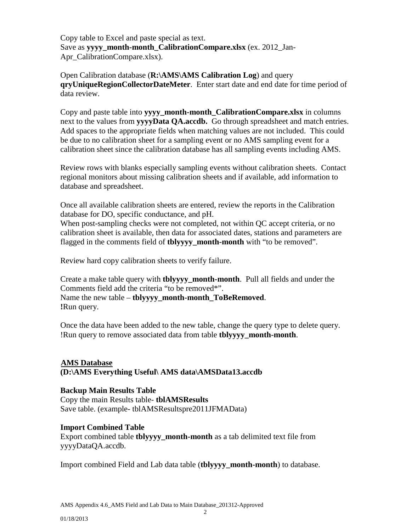Copy table to Excel and paste special as text. Save as **yyyy\_month-month\_CalibrationCompare.xlsx** (ex. 2012\_Jan-Apr\_CalibrationCompare.xlsx).

Open Calibration database (**R:\AMS\AMS Calibration Log**) and query **qryUniqueRegionCollectorDateMeter**. Enter start date and end date for time period of data review.

Copy and paste table into **yyyy\_month-month\_CalibrationCompare.xlsx** in columns next to the values from **yyyyData QA.accdb.** Go through spreadsheet and match entries. Add spaces to the appropriate fields when matching values are not included. This could be due to no calibration sheet for a sampling event or no AMS sampling event for a calibration sheet since the calibration database has all sampling events including AMS.

Review rows with blanks especially sampling events without calibration sheets. Contact regional monitors about missing calibration sheets and if available, add information to database and spreadsheet.

Once all available calibration sheets are entered, review the reports in the Calibration database for DO, specific conductance, and pH.

When post-sampling checks were not completed, not within QC accept criteria, or no calibration sheet is available, then data for associated dates, stations and parameters are flagged in the comments field of **tblyyyy\_month-month** with "to be removed".

Review hard copy calibration sheets to verify failure.

Create a make table query with **tblyyyy\_month-month**. Pull all fields and under the Comments field add the criteria "to be removed\*". Name the new table – **tblyyyy** month-month ToBeRemoved. **!**Run query.

Once the data have been added to the new table, change the query type to delete query. !Run query to remove associated data from table **tblyyyy\_month-month**.

## **AMS** Database

**(D:\AMS Everything Useful\ AMS data\AMSData13.accdb**

**Backup Main Results Table** Copy the main Results table- **tblAMSResults** Save table. (example- tblAMSResultspre2011JFMAData)

## **Import Combined Table**

Export combined table **tblyyyy\_month-month** as a tab delimited text file from yyyyDataQA.accdb.

Import combined Field and Lab data table (**tblyyyy\_month-month**) to database.